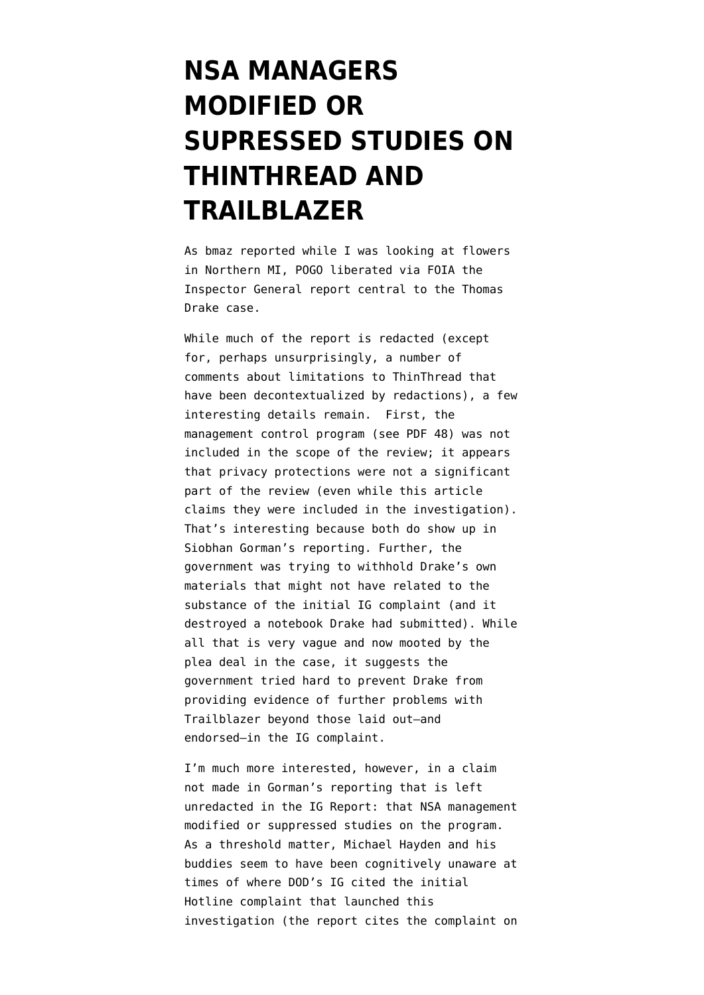## **[NSA MANAGERS](https://www.emptywheel.net/2011/06/27/nsa-managers-modified-or-supressed-studies-on-thinthread-and-trailblazer/) [MODIFIED OR](https://www.emptywheel.net/2011/06/27/nsa-managers-modified-or-supressed-studies-on-thinthread-and-trailblazer/) [SUPRESSED STUDIES ON](https://www.emptywheel.net/2011/06/27/nsa-managers-modified-or-supressed-studies-on-thinthread-and-trailblazer/) [THINTHREAD AND](https://www.emptywheel.net/2011/06/27/nsa-managers-modified-or-supressed-studies-on-thinthread-and-trailblazer/) [TRAILBLAZER](https://www.emptywheel.net/2011/06/27/nsa-managers-modified-or-supressed-studies-on-thinthread-and-trailblazer/)**

As bmaz reported while I was looking at flowers in Northern MI, POGO [liberated](http://emptywheel.firedoglake.com/2011/06/23/thomas-drake-proved-to-be-bloody-well-right/) via FOIA the [Inspector General report](http://www.pogo.org/resources/whistleblower-issues/dod-ig-report-on-trailblazer-thinthread.html) central to the Thomas Drake case.

While much of the report is redacted (except for, perhaps unsurprisingly, a number of comments about limitations to ThinThread that have been decontextualized by redactions), a few interesting details remain. First, the management control program (see PDF 48) was not included in the scope of the review; it appears that privacy protections were not a significant part of the review (even while [this article](http://www.commondreams.org/headlines06/0518-07.htm) claims they were included in the investigation). That's interesting because both do show up in Siobhan Gorman's reporting. Further, the government was [trying to withhold Drake's own](http://emptywheel.firedoglake.com/2011/05/23/did-thomas-drake-have-privacy-concerns-about-nsa-surveillance-in-2007/) [materials](http://emptywheel.firedoglake.com/2011/05/23/did-thomas-drake-have-privacy-concerns-about-nsa-surveillance-in-2007/) that might not have related to the substance of the initial IG complaint (and it destroyed a notebook Drake had submitted). While all that is very vague and now mooted by the plea deal in the case, it suggests the government tried hard to prevent Drake from providing evidence of further problems with Trailblazer beyond those laid out–and endorsed–in the IG complaint.

I'm much more interested, however, in a claim not made in Gorman's reporting that is left unredacted in the IG Report: that NSA management modified or suppressed studies on the program. As a threshold matter, Michael Hayden and his buddies seem to have been cognitively unaware at times of where DOD's IG cited the initial Hotline complaint that launched this investigation (the report cites the complaint on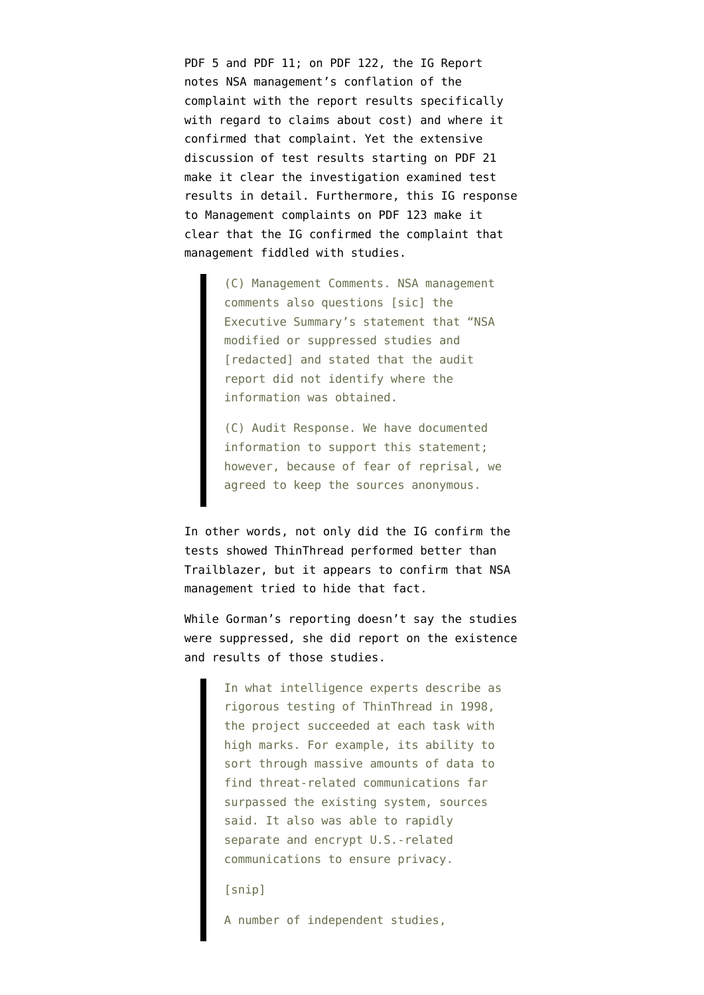PDF 5 and PDF 11; on PDF 122, the IG Report notes NSA management's conflation of the complaint with the report results specifically with regard to claims about cost) and where it confirmed that complaint. Yet the extensive discussion of test results starting on PDF 21 make it clear the investigation examined test results in detail. Furthermore, this IG response to Management complaints on PDF 123 make it clear that the IG confirmed the complaint that management fiddled with studies.

> (C) Management Comments. NSA management comments also questions [sic] the Executive Summary's statement that "NSA modified or suppressed studies and [redacted] and stated that the audit report did not identify where the information was obtained.

(C) Audit Response. We have documented information to support this statement; however, because of fear of reprisal, we agreed to keep the sources anonymous.

In other words, not only did the IG confirm the tests showed ThinThread performed better than Trailblazer, but it appears to confirm that NSA management tried to hide that fact.

While Gorman's reporting doesn't say the studies were suppressed, she did [report](http://www.commondreams.org/headlines06/0518-07.htm) on the existence and results of those studies.

> In what intelligence experts describe as rigorous testing of ThinThread in 1998, the project succeeded at each task with high marks. For example, its ability to sort through massive amounts of data to find threat-related communications far surpassed the existing system, sources said. It also was able to rapidly separate and encrypt U.S.-related communications to ensure privacy.

[snip]

A number of independent studies,